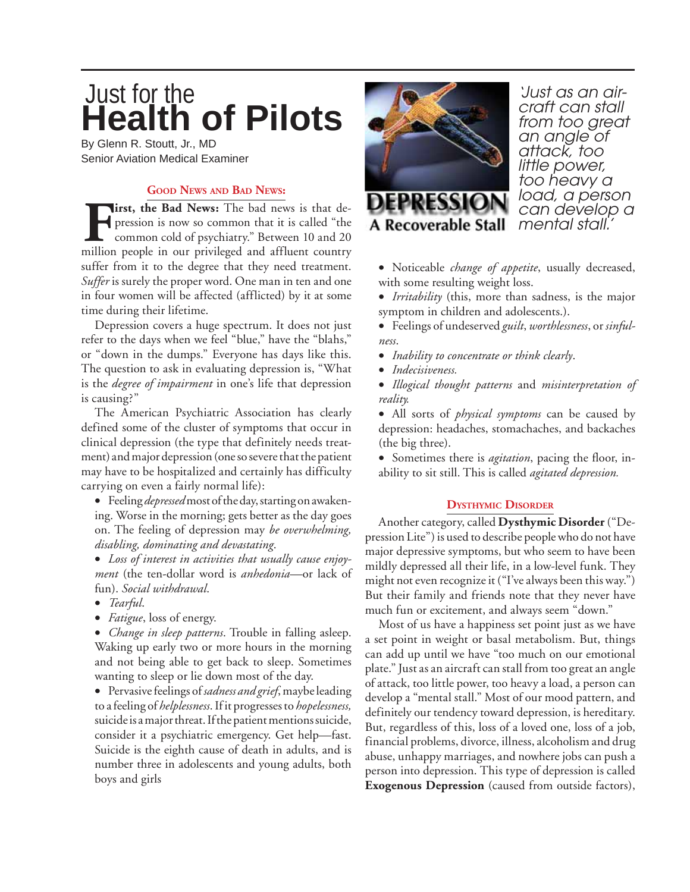# **Health of Pilots** Just for the

By Glenn R. Stoutt, Jr., MD Senior Aviation Medical Examiner

# **GOOD NEWS AND BAD NEWS:**

**First, the Bad News:** The bad news is that depression is now so common that it is called "the common cold of psychiatry." Between 10 and 20 million people in our privileged and affluent country pression is now so common that it is called "the common cold of psychiatry." Between 10 and 20 million people in our privileged and affluent country suffer from it to the degree that they need treatment. *Suffer* is surely the proper word. One man in ten and one in four women will be affected (afflicted) by it at some time during their lifetime.

Depression covers a huge spectrum. It does not just refer to the days when we feel "blue," have the "blahs," or "down in the dumps." Everyone has days like this. The question to ask in evaluating depression is, "What is the *degree of impairment* in one's life that depression is causing?"

The American Psychiatric Association has clearly defined some of the cluster of symptoms that occur in clinical depression (the type that definitely needs treatment) and major depression (one so severe that the patient may have to be hospitalized and certainly has difficulty carrying on even a fairly normal life):

• Feeling *depressed* most of the day, starting on awakening. Worse in the morning; gets better as the day goes on. The feeling of depression may *be overwhelming, disabling, dominating and devastating*.

- *Loss of interest in activities that usually cause enjoyment* (the ten-dollar word is *anhedonia*—or lack of fun). *Social withdrawal*.
- *Tearful*.
- *Fatigue*, loss of energy.

• *Change in sleep patterns*. Trouble in falling asleep. Waking up early two or more hours in the morning and not being able to get back to sleep. Sometimes wanting to sleep or lie down most of the day.

• Pervasive feelings of *sadness and grief*, maybe leading to a feeling of *helplessness*. If it progresses to *hopelessness,* suicide is a major threat. If the patient mentions suicide, consider it a psychiatric emergency. Get help—fast. Suicide is the eighth cause of death in adults, and is number three in adolescents and young adults, both boys and girls



*'Just as an aircraft can stall from too great an angle of attack, too little power, too heavy a load, a person can develop a mental stall.'*

- Noticeable *change of appetite*, usually decreased, with some resulting weight loss.
- *Irritability* (this, more than sadness, is the major symptom in children and adolescents.).
- Feelings of undeserved *guilt*, *worthlessness*, or *sinfulness*.
- *Inability to concentrate or think clearly*.
- *Indecisiveness.*
- *Illogical thought patterns* and *misinterpretation of reality.*

• All sorts of *physical symptoms* can be caused by depression: headaches, stomachaches, and backaches (the big three).

• Sometimes there is *agitation*, pacing the floor, inability to sit still. This is called *agitated depression.*

# **DYSTHYMIC DISORDER**

Another category, called **Dysthymic Disorder** ("Depression Lite") is used to describe people who do not have major depressive symptoms, but who seem to have been mildly depressed all their life, in a low-level funk. They might not even recognize it ("I've always been this way.") But their family and friends note that they never have much fun or excitement, and always seem "down."

Most of us have a happiness set point just as we have a set point in weight or basal metabolism. But, things can add up until we have "too much on our emotional plate." Just as an aircraft can stall from too great an angle of attack, too little power, too heavy a load, a person can develop a "mental stall." Most of our mood pattern, and definitely our tendency toward depression, is hereditary. But, regardless of this, loss of a loved one, loss of a job, financial problems, divorce, illness, alcoholism and drug abuse, unhappy marriages, and nowhere jobs can push a person into depression. This type of depression is called **Exogenous Depression** (caused from outside factors),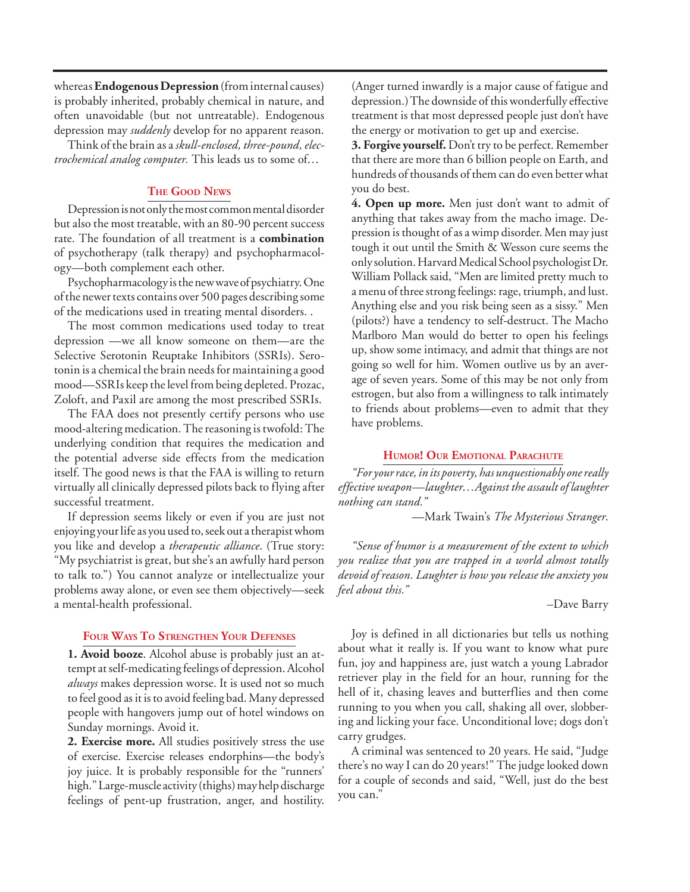whereas **Endogenous Depression** (from internal causes) is probably inherited, probably chemical in nature, and often unavoidable (but not untreatable). Endogenous depression may *suddenly* develop for no apparent reason.

Think of the brain as a *skull-enclosed, three-pound, electrochemical analog computer.* This leads us to some of…

## **THE GOOD NEWS**

Depression is not only the most common mental disorder but also the most treatable, with an 80-90 percent success rate. The foundation of all treatment is a **combination**  of psychotherapy (talk therapy) and psychopharmacology—both complement each other.

Psychopharmacology is the new wave of psychiatry. One of the newer texts contains over 500 pages describing some of the medications used in treating mental disorders. .

The most common medications used today to treat depression —we all know someone on them—are the Selective Serotonin Reuptake Inhibitors (SSRIs). Serotonin is a chemical the brain needs for maintaining a good mood—SSRIs keep the level from being depleted. Prozac, Zoloft, and Paxil are among the most prescribed SSRIs.

The FAA does not presently certify persons who use mood-altering medication. The reasoning is twofold: The underlying condition that requires the medication and the potential adverse side effects from the medication itself. The good news is that the FAA is willing to return virtually all clinically depressed pilots back to flying after successful treatment.

If depression seems likely or even if you are just not enjoying your life as you used to, seek out a therapist whom you like and develop a *therapeutic alliance*. (True story: "My psychiatrist is great, but she's an awfully hard person to talk to.") You cannot analyze or intellectualize your problems away alone, or even see them objectively—seek a mental-health professional.

## **FOUR WAYS TO STRENGTHEN YOUR DEFENSES**

**1. Avoid booze**. Alcohol abuse is probably just an attempt at self-medicating feelings of depression. Alcohol *always* makes depression worse. It is used not so much to feel good as it is to avoid feeling bad. Many depressed people with hangovers jump out of hotel windows on Sunday mornings. Avoid it.

**2. Exercise more.** All studies positively stress the use of exercise. Exercise releases endorphins—the body's joy juice. It is probably responsible for the "runners' high." Large-muscle activity (thighs) may help discharge feelings of pent-up frustration, anger, and hostility. (Anger turned inwardly is a major cause of fatigue and depression.) The downside of this wonderfully effective treatment is that most depressed people just don't have the energy or motivation to get up and exercise.

**3. Forgive yourself.** Don't try to be perfect. Remember that there are more than 6 billion people on Earth, and hundreds of thousands of them can do even better what you do best.

**4. Open up more.** Men just don't want to admit of anything that takes away from the macho image. Depression is thought of as a wimp disorder. Men may just tough it out until the Smith & Wesson cure seems the only solution. Harvard Medical School psychologist Dr. William Pollack said, "Men are limited pretty much to a menu of three strong feelings: rage, triumph, and lust. Anything else and you risk being seen as a sissy." Men (pilots?) have a tendency to self-destruct. The Macho Marlboro Man would do better to open his feelings up, show some intimacy, and admit that things are not going so well for him. Women outlive us by an average of seven years. Some of this may be not only from estrogen, but also from a willingness to talk intimately to friends about problems—even to admit that they have problems.

## **HUMOR! OUR EMOTIONAL PARACHUTE**

*"For your race, in its poverty, has unquestionably one really effective weapon—laughter…Against the assault of laughter nothing can stand."*

—Mark Twain's *The Mysterious Stranger*.

*"Sense of humor is a measurement of the extent to which you realize that you are trapped in a world almost totally devoid of reason. Laughter is how you release the anxiety you feel about this."* 

#### –Dave Barry

Joy is defined in all dictionaries but tells us nothing about what it really is. If you want to know what pure fun, joy and happiness are, just watch a young Labrador retriever play in the field for an hour, running for the hell of it, chasing leaves and butterflies and then come running to you when you call, shaking all over, slobbering and licking your face. Unconditional love; dogs don't carry grudges.

A criminal was sentenced to 20 years. He said, "Judge there's no way I can do 20 years!" The judge looked down for a couple of seconds and said, "Well, just do the best you can."